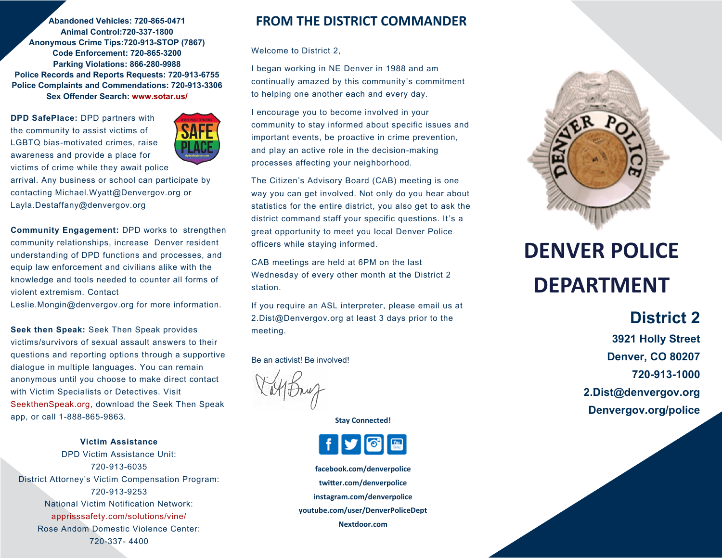**Abandoned Vehicles: 720-865-0471 Animal Control:720-337-1800 Anonymous Crime Tips:720-913-STOP (7867) Code Enforcement: 720-865-3200 Parking Violations: 866-280-9988 Police Records and Reports Requests: 720-913-6755 Police Complaints and Commendations: 720-913-3306 Sex Offender Search: www.sotar.us/**

**DPD SafePlace:** DPD partners with the community to assist victims of LGBTQ bias-motivated crimes, raise awareness and provide a place for victims of crime while they await police



arrival. Any business or school can participate by contacting Michael.Wyatt@Denvergov.org or Layla.Destaffany@denvergov.org

**Community Engagement:** DPD works to strengthen community relationships, increase Denver resident understanding of DPD functions and processes, and equip law enforcement and civilians alike with the knowledge and tools needed to counter all forms of violent extremism. Contact

Leslie.Mongin@denvergov.org for more information.

**Seek then Speak:** Seek Then Speak provides victims/survivors of sexual assault answers to their questions and reporting options through a supportive dialogue in multiple languages. You can remain anonymous until you choose to make direct contact with Victim Specialists or Detectives. Visit SeekthenSpeak.org, download the Seek Then Speak app, or call 1-888-865-9863.

**Victim Assistance** DPD Victim Assistance Unit: 720-913-6035 District Attorney's Victim Compensation Program: 720-913-9253 National Victim Notification Network: apprisssafety.com/solutions/vine/ Rose Andom Domestic Violence Center: 720-337- 4400

### **FROM THE DISTRICT COMMANDER**

Welcome to District 2,

I began working in NE Denver in 1988 and am continually amazed by this community's commitment to helping one another each and every day.

I encourage you to become involved in your community to stay informed about specific issues and important events, be proactive in crime prevention, and play an active role in the decision-making processes affecting your neighborhood.

The Citizen's Advisory Board (CAB) meeting is one way you can get involved. Not only do you hear about statistics for the entire district, you also get to ask the district command staff your specific questions. It's a great opportunity to meet you local Denver Police officers while staying informed.

CAB meetings are held at 6PM on the last Wednesday of every other month at the District 2 station.

If you require an ASL interpreter, please email us at 2.Dist@Denvergov.org at least 3 days prior to the meeting.

Be an activist! Be involved!

**Stay Connected!**



**facebook.com/denverpolice twitter.com/denverpolice instagram.com/denverpolice youtube.com/user/DenverPoliceDept Nextdoor.com**



# **DENVER POLICE DEPARTMENT**

## **District 2**

**3921 Holly Street Denver, CO 80207 720-913-1000 2.Dist@denvergov.org Denvergov.org/police**